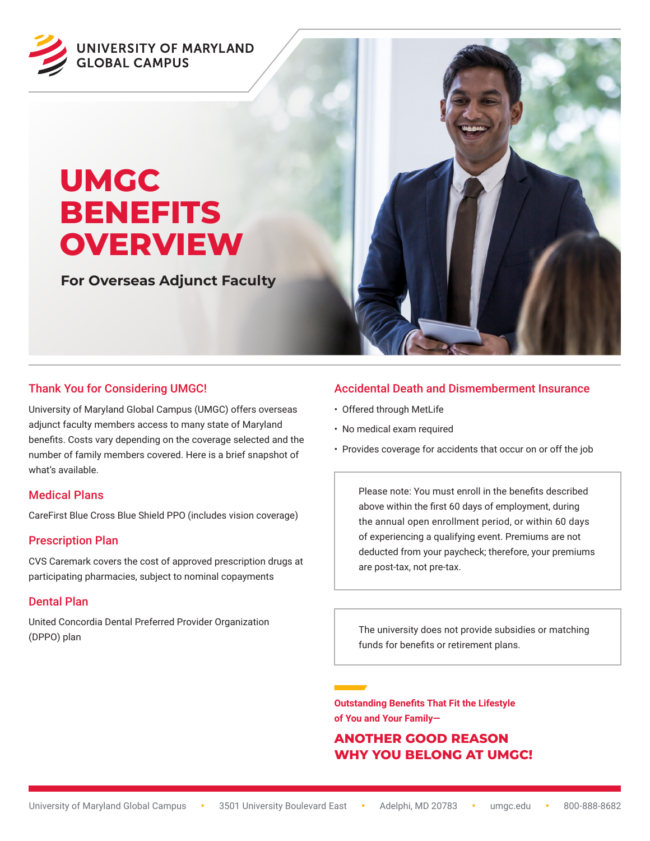

# **UMGC BENEFITS OVERVIEW**

**For Overseas Adjunct Faculty**



# Thank You for Considering UMGC!

University of Maryland Global Campus (UMGC) offers overseas adjunct faculty members access to many state of Maryland benefits. Costs vary depending on the coverage selected and the number of family members covered. Here is a brief snapshot of what's available.

## Medical Plans

CareFirst Blue Cross Blue Shield PPO (includes vision coverage)

## Prescription Plan

CVS Caremark covers the cost of approved prescription drugs at participating pharmacies, subject to nominal copayments

## Dental Plan

United Concordia Dental Preferred Provider Organization (DPPO) plan

## Accidental Death and Dismemberment Insurance

- Offered through MetLife
- No medical exam required
- Provides coverage for accidents that occur on or off the job

Please note: You must enroll in the benefits described above within the first 60 days of employment, during the annual open enrollment period, or within 60 days of experiencing a qualifying event. Premiums are not deducted from your paycheck; therefore, your premiums are post-tax, not pre-tax.

The university does not provide subsidies or matching funds for benefits or retirement plans.

**Outstanding Benefits That Fit the Lifestyle of You and Your Family—**

# **ANOTHER GOOD REASON WHY YOU BELONG AT UMGC!**